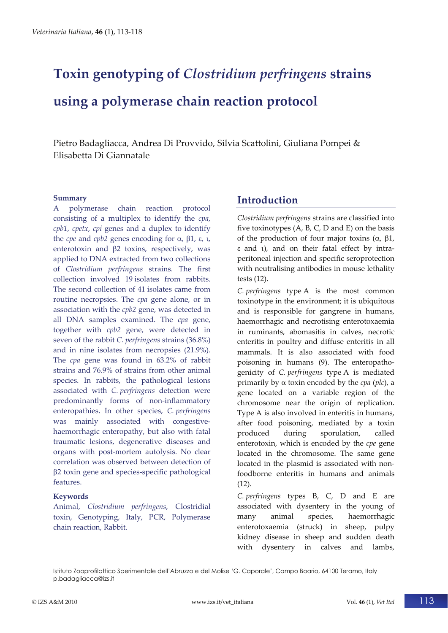# **Toxin genotyping of** *Clostridium perfringens* **strains using a polymerase chain reaction protocol**

Pietro Badagliacca, Andrea Di Provvido, Silvia Scattolini, Giuliana Pompei & Elisabetta Di Giannatale

#### **Summary**

A polymerase chain reaction protocol consisting of a multiplex to identify the *cpa*, *cpb1*, *cpetx*, *cpi* genes and a duplex to identify the *cpe* and *cpb2* genes encoding for  $\alpha$ ,  $\beta$ 1,  $\epsilon$ ,  $\iota$ , enterotoxin and  $\beta$ 2 toxins, respectively, was applied to DNA extracted from two collections of *Clostridium perfringens* strains. The first collection involved 19 isolates from rabbits. The second collection of 41 isolates came from routine necropsies. The *cpa* gene alone, or in association with the *cpb2* gene, was detected in all DNA samples examined. The *cpa* gene, together with *cpb2* gene, were detected in seven of the rabbit *C. perfringens* strains (36.8%) and in nine isolates from necropsies (21.9%). The *cpa* gene was found in 63.2% of rabbit strains and 76.9% of strains from other animal species. In rabbits, the pathological lesions associated with *C. perfringens* detection were predominantly forms of non-inflammatory enteropathies. In other species, *C. perfringens* was mainly associated with congestivehaemorrhagic enteropathy, but also with fatal traumatic lesions, degenerative diseases and organs with post‐mortem autolysis. No clear correlation was observed between detection of  $\beta$ 2 toxin gene and species-specific pathological features.

#### **Keywords**

Animal, *Clostridium perfringens*, Clostridial toxin, Genotyping, Italy, PCR, Polymerase chain reaction, Rabbit.

# **Introduction**

*Clostridium perfringens* strains are classified into five toxinotypes  $(A, B, C, D \text{ and } E)$  on the basis of the production of four major toxins  $(\alpha, \beta)$ ,  $\varepsilon$  and  $\varepsilon$ ), and on their fatal effect by intraperitoneal injection and specific seroprotection with neutralising antibodies in mouse lethality tests (12).

*C. perfringens* type A is the most common toxinotype in the environment; it is ubiquitous and is responsible for gangrene in humans, haemorrhagic and necrotising enterotoxaemia in ruminants, abomasitis in calves, necrotic enteritis in poultry and diffuse enteritis in all mammals. It is also associated with food poisoning in humans (9). The enteropathogenicity of *C. perfringens* type A is mediated primarily by  $\alpha$  toxin encoded by the *cpa* (*plc*), a gene located on a variable region of the chromosome near the origin of replication. Type A is also involved in enteritis in humans, after food poisoning, mediated by a toxin produced during sporulation, called enterotoxin, which is encoded by the *cpe* gene located in the chromosome. The same gene located in the plasmid is associated with non‐ foodborne enteritis in humans and animals  $(12)$ .

*C. perfringens* types B, C, D and E are associated with dysentery in the young of many animal species, haemorrhagic enterotoxaemia (struck) in sheep, pulpy kidney disease in sheep and sudden death with dysentery in calves and lambs,

Istituto Zooprofilattico Sperimentale dell'Abruzzo e del Molise 'G. Caporale', Campo Boario, 64100 Teramo, Italy p.badagliacca@izs.it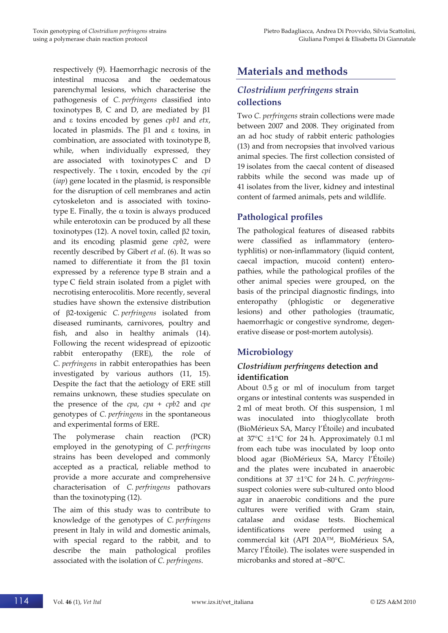respectively (9). Haemorrhagic necrosis of the intestinal mucosa and the oedematous parenchymal lesions, which characterise the pathogenesis of *C. perfringens* classified into toxinotypes B, C and D, are mediated by  $\beta$ 1 and  $\varepsilon$  toxins encoded by genes *cpb1* and *etx*, located in plasmids. The  $\beta$ 1 and  $\epsilon$  toxins, in combination, are associated with toxinotype B, while, when individually expressed, they are associated with toxinotypes C and D respectively. The toxin, encoded by the *cpi* (*iap*) gene located in the plasmid, is responsible for the disruption of cell membranes and actin cytoskeleton and is associated with toxino‐ type E. Finally, the  $\alpha$  toxin is always produced while enterotoxin can be produced by all these toxinotypes (12). A novel toxin, called β2 toxin, and its encoding plasmid gene *cpb2*, were recently described by Gibert *et al*. (6). It was so named to differentiate it from the  $\beta$ 1 toxin expressed by a reference type B strain and a type C field strain isolated from a piglet with necrotising enterocolitis. More recently, several studies have shown the extensive distribution of 2‐toxigenic *C. perfringens* isolated from diseased ruminants, carnivores, poultry and fish, and also in healthy animals (14). Following the recent widespread of epizootic rabbit enteropathy (ERE), the role of *C. perfringens* in rabbit enteropathies has been investigated by various authors (11, 15). Despite the fact that the aetiology of ERE still remains unknown, these studies speculate on the presence of the *cpa*, *cpa* + *cpb2* and *cpe* genotypes of *C. perfringens* in the spontaneous and experimental forms of ERE.

The polymerase chain reaction (PCR) employed in the genotyping of *C. perfringens* strains has been developed and commonly accepted as a practical, reliable method to provide a more accurate and comprehensive characterisation of *C. perfringens* pathovars than the toxinotyping (12).

The aim of this study was to contribute to knowledge of the genotypes of *C. perfringens* present in Italy in wild and domestic animals, with special regard to the rabbit, and to describe the main pathological profiles associated with the isolation of *C. perfringens*.

# **Materials and methods**

## *Clostridium perfringens* **strain collections**

Two *C. perfringens* strain collections were made between 2007 and 2008. They originated from an ad hoc study of rabbit enteric pathologies (13) and from necropsies that involved various animal species. The first collection consisted of 19 isolates from the caecal content of diseased rabbits while the second was made up of 41 isolates from the liver, kidney and intestinal content of farmed animals, pets and wildlife.

## **Pathological profiles**

The pathological features of diseased rabbits were classified as inflammatory (enterotyphlitis) or non‐inflammatory (liquid content, caecal impaction, mucoid content) entero‐ pathies, while the pathological profiles of the other animal species were grouped, on the basis of the principal diagnostic findings, into enteropathy (phlogistic or degenerative lesions) and other pathologies (traumatic, haemorrhagic or congestive syndrome, degenerative disease or post‐mortem autolysis).

## **Microbiology**

#### *Clostridium perfringens* **detection and identification**

About 0.5 g or ml of inoculum from target organs or intestinal contents was suspended in 2 ml of meat broth. Of this suspension, 1 ml was inoculated into thioglycollate broth (BioMérieux SA, Marcy l'Étoile) and incubated at  $37^{\circ}$ C  $\pm 1^{\circ}$ C for 24 h. Approximately 0.1 ml from each tube was inoculated by loop onto blood agar (BioMérieux SA, Marcy l'Étoile) and the plates were incubated in anaerobic conditions at  $37 \pm 1$ °C for 24 h. *C. perfringens* suspect colonies were sub‐cultured onto blood agar in anaerobic conditions and the pure cultures were verified with Gram stain, catalase and oxidase tests. Biochemical identifications were performed using a commercial kit (API 20A™, BioMérieux SA, Marcy l'Étoile). The isolates were suspended in microbanks and stored at –80°C.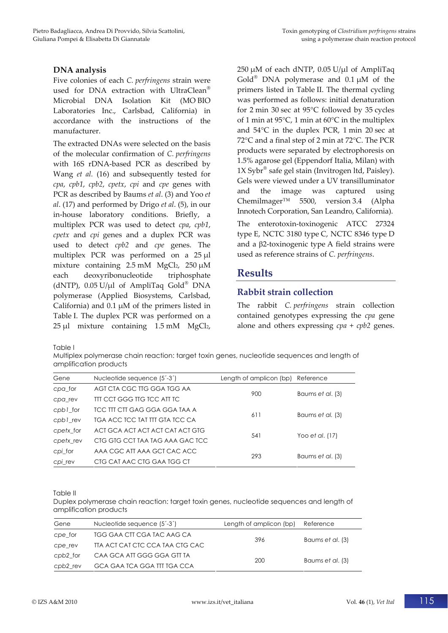#### **DNA analysis**

Five colonies of each *C. perfringens* strain were used for DNA extraction with UltraClean® Microbial DNA Isolation Kit (MO BIO Laboratories Inc., Carlsbad, California) in accordance with the instructions of the manufacturer.

The extracted DNAs were selected on the basis of the molecular confirmation of *C. perfringens* with 16S rDNA‐based PCR as described by Wang *et al.* (16) and subsequently tested for *cpa*, *cpb1*, *cpb2*, *cpetx*, *cpi* and *cpe* genes with PCR as described by Baums *et al*. (3) and Yoo *et al*. (17) and performed by Drigo *et al*. (5), in our in‐house laboratory conditions. Briefly, a multiplex PCR was used to detect *cpa*, *cpb1*, *cpetx* and *cpi* genes and a duplex PCR was used to detect *cpb2* and *cpe* genes. The multiplex PCR was performed on a 25 μl mixture containing 2.5 mM MgCl2, 250 μM each deoxyribonucleotide triphosphate (dNTP),  $0.05 \text{ U/}\mu l$  of AmpliTaq Gold<sup>®</sup> DNA polymerase (Applied Biosystems, Carlsbad, California) and 0.1 μM of the primers listed in Table I. The duplex PCR was performed on a 25 μl mixture containing 1.5 mM MgCl2,

250 μM of each dNTP, 0.05 U/μl of AmpliTaq  $Gold^{\otimes}$  DNA polymerase and 0.1  $\mu$ M of the primers listed in Table II. The thermal cycling was performed as follows: initial denaturation for 2 min 30 sec at 95°C followed by 35 cycles of 1 min at 95°C, 1 min at 60°C in the multiplex and 54°C in the duplex PCR, 1 min 20 sec at 72°C and a final step of 2 min at 72°C. The PCR products were separated by electrophoresis on 1.5% agarose gel (Eppendorf Italia, Milan) with  $1X$  Sybr<sup>®</sup> safe gel stain (Invitrogen ltd, Paisley). Gels were viewed under a UV transilluminator and the image was captured using Chemilmager™ 5500, version 3.4 (Alpha Innotech Corporation, San Leandro, California).

The enterotoxin-toxinogenic ATCC 27324 type E, NCTC 3180 type C, NCTC 8346 type D and a  $\beta$ 2-toxinogenic type A field strains were used as reference strains of *C. perfringens*.

## **Results**

## **Rabbit strain collection**

The rabbit *C. perfringens* strain collection contained genotypes expressing the *cpa* gene alone and others expressing *cpa* + *cpb2* genes.

Table I

Multiplex polymerase chain reaction: target toxin genes, nucleotide sequences and length of amplification products

| Nucleotide sequence $(5^{\prime}-3^{\prime})$ | Length of amplicon (bp) Reference |                          |  |
|-----------------------------------------------|-----------------------------------|--------------------------|--|
| AGT CTA CGC TTG GGA TGG AA                    |                                   | Baums et al. (3)         |  |
| TIT CCT GGG TIG TCC ATT TC                    |                                   |                          |  |
| TCC TIT CIT GAG GGA GGA TAA A                 |                                   | Baums et al. (3)         |  |
| TGA ACC TCC TAT TIT GTA TCC CA                |                                   |                          |  |
| ACI GCA ACI ACI ACI CAI ACI GIG               |                                   |                          |  |
| CIG GIG CCI TAA TAG AAA GAC TCC               |                                   | Yoo et al. (17)          |  |
| AAA CGC ATT AAA GCT CAC ACC                   |                                   | Baums et al. (3)         |  |
| CIG CAI AAC CIG GAA IGG CI                    |                                   |                          |  |
|                                               |                                   | 900<br>611<br>541<br>293 |  |

Table II

Duplex polymerase chain reaction: target toxin genes, nucleotide sequences and length of amplification products

| Gene     | Nucleotide sequence (5'-3')     | Length of amplicon (bp) | Reference        |  |
|----------|---------------------------------|-------------------------|------------------|--|
| cpe for  | TGG GAA CIT CGA TAC AAG CA      | 396                     | Baums et al. (3) |  |
| cpe rev  | TTA ACT CAT CTC CCA TAA CTG CAC |                         |                  |  |
| cpb2 for | CAA GCA ATT GGG GGA GTT TA      | 200                     | Baums et al. (3) |  |
| cpb2 rev | GCA GAA ICA GGA III IGA CCA     |                         |                  |  |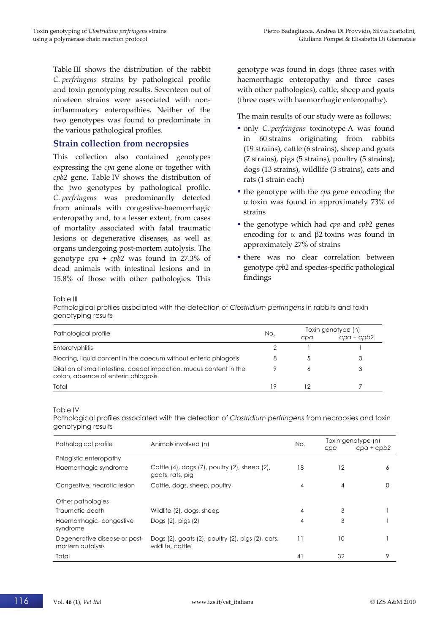Table III shows the distribution of the rabbit *C. perfringens* strains by pathological profile and toxin genotyping results. Seventeen out of nineteen strains were associated with non‐ inflammatory enteropathies. Neither of the two genotypes was found to predominate in the various pathological profiles.

#### **Strain collection from necropsies**

This collection also contained genotypes expressing the *cpa* gene alone or together with *cpb2* gene. Table IV shows the distribution of the two genotypes by pathological profile. *C. perfringens* was predominantly detected from animals with congestive-haemorrhagic enteropathy and, to a lesser extent, from cases of mortality associated with fatal traumatic lesions or degenerative diseases, as well as organs undergoing post‐mortem autolysis. The genotype *cpa* + *cpb2* was found in 27.3% of dead animals with intestinal lesions and in 15.8% of those with other pathologies. This

genotype was found in dogs (three cases with haemorrhagic enteropathy and three cases with other pathologies), cattle, sheep and goats (three cases with haemorrhagic enteropathy).

The main results of our study were as follows:

- only *C. perfringens* toxinotype A was found in 60 strains originating from rabbits (19 strains), cattle (6 strains), sheep and goats (7 strains), pigs (5 strains), poultry (5 strains), dogs (13 strains), wildlife (3 strains), cats and rats (1 strain each)
- the genotype with the *cpa* gene encoding the  $\alpha$  toxin was found in approximately 73% of strains
- the genotype which had *cpa* and *cpb2* genes encoding for  $\alpha$  and  $\beta$ 2 toxins was found in approximately 27% of strains
- there was no clear correlation between genotype *cpb2* and species‐specific pathological findings

Table III

Pathological profiles associated with the detection of *Clostridium perfringens* in rabbits and toxin genotyping results

| Pathological profile                                                                                       | No. | Toxin genotype (n) |              |  |
|------------------------------------------------------------------------------------------------------------|-----|--------------------|--------------|--|
|                                                                                                            |     | cpa                | $cpa + cpb2$ |  |
| <b>Enterotyphlitis</b>                                                                                     |     |                    |              |  |
| Bloating, liquid content in the caecum without enteric phlogosis                                           |     |                    | 3            |  |
| Dilation of small intestine, caecal impaction, mucus content in the<br>colon, absence of enteric phlogosis |     |                    |              |  |
| Total                                                                                                      | 19  |                    |              |  |

#### Table IV

Pathological profiles associated with the detection of *Clostridium perfringens* from necropsies and toxin genotyping results

| Pathological profile                              | Animals involved (n)                                                          | No. | cpa | Toxin genotype (n)<br>$cpa + cpb2$ |
|---------------------------------------------------|-------------------------------------------------------------------------------|-----|-----|------------------------------------|
| Phlogistic enteropathy                            |                                                                               |     |     |                                    |
| Haemorrhagic syndrome                             | Cattle $(4)$ , dogs $(7)$ , poultry $(2)$ , sheep $(2)$ ,<br>goats, rats, pig | 18  | 12  | 6                                  |
| Congestive, necrotic lesion                       | Cattle, dogs, sheep, poultry                                                  | 4   | 4   | 0                                  |
| Other pathologies                                 |                                                                               |     |     |                                    |
| Traumatic death                                   | Wildlife (2), dogs, sheep                                                     | 4   | 3   |                                    |
| Haemorrhagic, congestive<br>syndrome              | Dogs $(2)$ , pigs $(2)$                                                       | 4   | 3   |                                    |
| Degenerative disease or post-<br>mortem autolysis | Dogs (2), goats (2), poultry (2), pigs (2), cats,<br>wildlife, cattle         | 11  | 10  |                                    |
| Total                                             |                                                                               | 41  | 32  | 9                                  |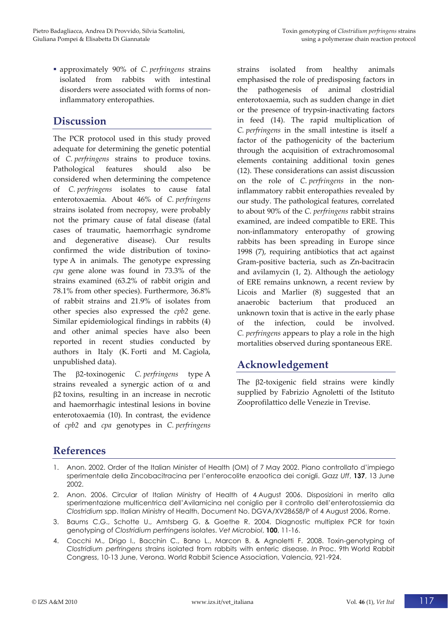approximately 90% of *C. perfringens* strains isolated from rabbits with intestinal disorders were associated with forms of noninflammatory enteropathies.

## **Discussion**

The PCR protocol used in this study proved adequate for determining the genetic potential of *C. perfringens* strains to produce toxins. Pathological features should also be considered when determining the competence of *C. perfringens* isolates to cause fatal enterotoxaemia. About 46% of *C. perfringens* strains isolated from necropsy, were probably not the primary cause of fatal disease (fatal cases of traumatic, haemorrhagic syndrome and degenerative disease). Our results confirmed the wide distribution of toxino‐ type A in animals. The genotype expressing *cpa* gene alone was found in 73.3% of the strains examined (63.2% of rabbit origin and 78.1% from other species). Furthermore, 36.8% of rabbit strains and 21.9% of isolates from other species also expressed the *cpb2* gene. Similar epidemiological findings in rabbits (4) and other animal species have also been reported in recent studies conducted by authors in Italy (K. Forti and M. Cagiola, unpublished data).

The 2‐toxinogenic *C. perfringens* type A strains revealed a synergic action of  $\alpha$  and 2 toxins, resulting in an increase in necrotic and haemorrhagic intestinal lesions in bovine enterotoxaemia (10). In contrast, the evidence of *cpb2* and *cpa* genotypes in *C. perfringens*

strains isolated from healthy animals emphasised the role of predisposing factors in the pathogenesis of animal clostridial enterotoxaemia, such as sudden change in diet or the presence of trypsin‐inactivating factors in feed (14). The rapid multiplication of *C. perfringens* in the small intestine is itself a factor of the pathogenicity of the bacterium through the acquisition of extrachromosomal elements containing additional toxin genes (12). These considerations can assist discussion on the role of *C. perfringens* in the non‐ inflammatory rabbit enteropathies revealed by our study. The pathological features, correlated to about 90% of the *C. perfringens* rabbit strains examined, are indeed compatible to ERE. This non‐inflammatory enteropathy of growing rabbits has been spreading in Europe since 1998 (7), requiring antibiotics that act against Gram‐positive bacteria, such as Zn‐bacitracin and avilamycin (1, 2). Although the aetiology of ERE remains unknown, a recent review by Licois and Marlier (8) suggested that an anaerobic bacterium that produced an unknown toxin that is active in the early phase of the infection, could be involved. *C. perfringens* appears to play a role in the high mortalities observed during spontaneous ERE.

# **Acknowledgement**

The  $\beta$ 2-toxigenic field strains were kindly supplied by Fabrizio Agnoletti of the Istituto Zooprofilattico delle Venezie in Trevise.

# **References**

- 1. Anon. 2002. Order of the Italian Minister of Health (OM) of 7 May 2002. Piano controllato d'impiego sperimentale della Zincobacitracina per l'enterocolite enzootica dei conigli. *Gazz Uff*, **137**, 13 June 2002.
- 2. Anon. 2006. Circular of Italian Ministry of Health of 4 August 2006. Disposizioni in merito alla sperimentazione multicentrica dell'Avilamicina nel coniglio per il controllo dell'enterotossiemia da *Clostridium* spp. Italian Ministry of Health, Document No. DGVA/XV28658/P of 4 August 2006, Rome.
- 3. Baums C.G., Schotte U., Amtsberg G. & Goethe R. 2004. Diagnostic multiplex PCR for toxin genotyping of *Clostridium perfringens* isolates. *Vet Microbiol*, **100**, 11-16.
- 4. Cocchi M., Drigo I., Bacchin C., Bano L., Marcon B. & Agnoletti F. 2008. Toxin-genotyping of *Clostridium perfringens* strains isolated from rabbits with enteric disease. *In* Proc. 9th World Rabbit Congress, 10-13 June, Verona. World Rabbit Science Association, Valencia, 921-924.